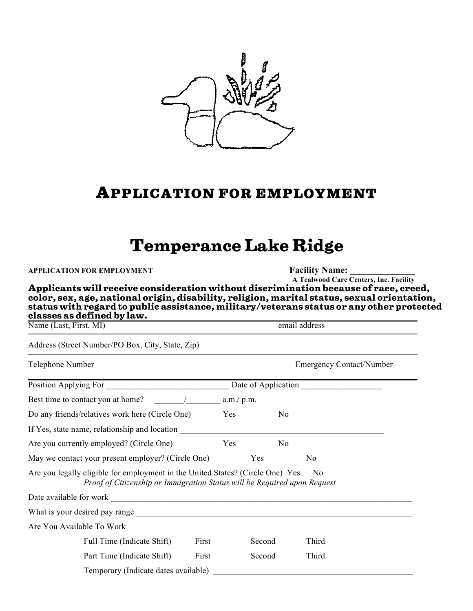

## **APPLICATION FOR EMPLOYMENT**

## **Temperance Lake Ridge**

| APPLICATION FOR EMPLOYMENT<br>Applicants will receive consideration without discrimination because of race, creed,<br>color, sex, age, national origin, disability, religion, marital status, sexual orientation,<br>status with regard to public assistance, military/veterans status or any other protected<br>classes as defined by law. |            |        |                | <b>Facility Name:</b><br>A Tealwood Care Centers, Inc. Facility |  |
|---------------------------------------------------------------------------------------------------------------------------------------------------------------------------------------------------------------------------------------------------------------------------------------------------------------------------------------------|------------|--------|----------------|-----------------------------------------------------------------|--|
| Name (Last, First, MI)                                                                                                                                                                                                                                                                                                                      |            |        |                | email address                                                   |  |
| Address (Street Number/PO Box, City, State, Zip)                                                                                                                                                                                                                                                                                            |            |        |                |                                                                 |  |
| Telephone Number                                                                                                                                                                                                                                                                                                                            |            |        |                | <b>Emergency Contact/Number</b>                                 |  |
|                                                                                                                                                                                                                                                                                                                                             |            |        |                |                                                                 |  |
| Best time to contact you at home?                                                                                                                                                                                                                                                                                                           | a.m./ p.m. |        |                |                                                                 |  |
| Do any friends/relatives work here (Circle One)                                                                                                                                                                                                                                                                                             | Yes        |        | N <sub>0</sub> |                                                                 |  |
| If Yes, state name, relationship and location                                                                                                                                                                                                                                                                                               |            |        |                |                                                                 |  |
| Are you currently employed? (Circle One)                                                                                                                                                                                                                                                                                                    | Yes        |        | No             |                                                                 |  |
| May we contact your present employer? (Circle One)                                                                                                                                                                                                                                                                                          |            | Yes    |                | N <sub>0</sub>                                                  |  |
| Are you legally eligible for employment in the United States? (Circle One) Yes<br>Proof of Citizenship or Immigration Status will be Required upon Request                                                                                                                                                                                  |            |        |                | No.                                                             |  |
|                                                                                                                                                                                                                                                                                                                                             |            |        |                |                                                                 |  |
| What is your desired pay range expression of the state of the state of the state of the state of the state of the state of the state of the state of the state of the state of the state of the state of the state of the stat                                                                                                              |            |        |                |                                                                 |  |
| Are You Available To Work                                                                                                                                                                                                                                                                                                                   |            |        |                |                                                                 |  |
| Full Time (Indicate Shift)                                                                                                                                                                                                                                                                                                                  | First      | Second |                | Third                                                           |  |
| Part Time (Indicate Shift)                                                                                                                                                                                                                                                                                                                  | First      | Second |                | Third                                                           |  |
| Temporary (Indicate dates available)                                                                                                                                                                                                                                                                                                        |            |        |                |                                                                 |  |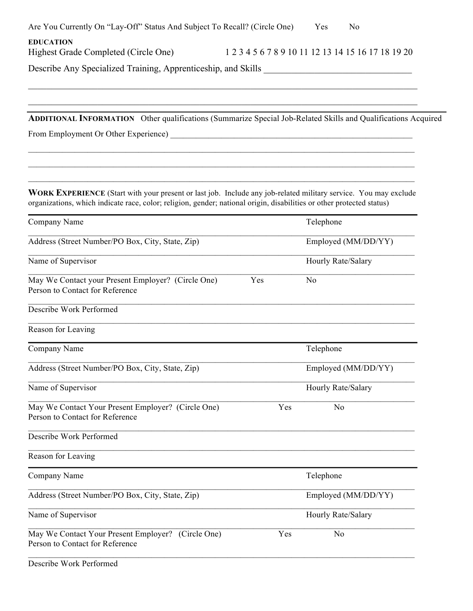| Are You Currently On "Lay-Off" Status And Subject To Recall? (Circle One)                                                             |     | Yes<br>N <sub>0</sub>                              |  |  |
|---------------------------------------------------------------------------------------------------------------------------------------|-----|----------------------------------------------------|--|--|
| <b>EDUCATION</b><br>Highest Grade Completed (Circle One)                                                                              |     | 1 2 3 4 5 6 7 8 9 10 11 12 13 14 15 16 17 18 19 20 |  |  |
|                                                                                                                                       |     |                                                    |  |  |
| <b>ADDITIONAL INFORMATION</b> Other qualifications (Summarize Special Job-Related Skills and Qualifications Acquired                  |     |                                                    |  |  |
|                                                                                                                                       |     |                                                    |  |  |
| <b>WORK EXPERIENCE</b> (Start with your present or last job. Include any job-related military service. You may exclude                |     |                                                    |  |  |
| organizations, which indicate race, color; religion, gender; national origin, disabilities or other protected status)<br>Company Name |     | Telephone                                          |  |  |
| Address (Street Number/PO Box, City, State, Zip)                                                                                      |     | Employed (MM/DD/YY)                                |  |  |
| Name of Supervisor                                                                                                                    |     | Hourly Rate/Salary                                 |  |  |
| May We Contact your Present Employer? (Circle One)<br>Person to Contact for Reference                                                 | Yes | N <sub>0</sub>                                     |  |  |
| Describe Work Performed                                                                                                               |     |                                                    |  |  |
| Reason for Leaving                                                                                                                    |     |                                                    |  |  |
| Company Name                                                                                                                          |     | Telephone                                          |  |  |
| Address (Street Number/PO Box, City, State, Zip)                                                                                      |     |                                                    |  |  |
| Name of Supervisor                                                                                                                    |     | Hourly Rate/Salary                                 |  |  |
| May We Contact Your Present Employer? (Circle One)<br>Person to Contact for Reference                                                 | Yes | N <sub>o</sub>                                     |  |  |
| Describe Work Performed                                                                                                               |     |                                                    |  |  |
| Reason for Leaving                                                                                                                    |     |                                                    |  |  |
| Company Name                                                                                                                          |     | Telephone                                          |  |  |
| Address (Street Number/PO Box, City, State, Zip)                                                                                      |     | Employed (MM/DD/YY)                                |  |  |
| Name of Supervisor                                                                                                                    |     | Hourly Rate/Salary                                 |  |  |
| May We Contact Your Present Employer? (Circle One)<br>Person to Contact for Reference                                                 | Yes | N <sub>o</sub>                                     |  |  |
| Describe Work Performed                                                                                                               |     |                                                    |  |  |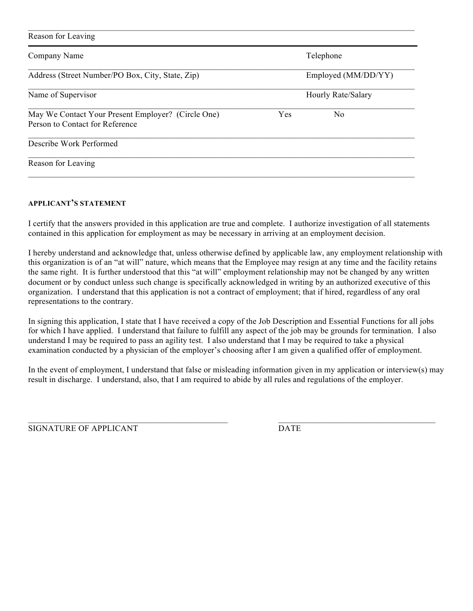| Reason for Leaving                                                                    |     |                     |
|---------------------------------------------------------------------------------------|-----|---------------------|
| Company Name                                                                          |     | Telephone           |
| Address (Street Number/PO Box, City, State, Zip)                                      |     | Employed (MM/DD/YY) |
| Name of Supervisor                                                                    |     | Hourly Rate/Salary  |
| May We Contact Your Present Employer? (Circle One)<br>Person to Contact for Reference | Yes | No                  |
| Describe Work Performed                                                               |     |                     |
| Reason for Leaving                                                                    |     |                     |

## **APPLICANT'S STATEMENT**

I certify that the answers provided in this application are true and complete. I authorize investigation of all statements contained in this application for employment as may be necessary in arriving at an employment decision.

I hereby understand and acknowledge that, unless otherwise defined by applicable law, any employment relationship with this organization is of an "at will" nature, which means that the Employee may resign at any time and the facility retains the same right. It is further understood that this "at will" employment relationship may not be changed by any written document or by conduct unless such change is specifically acknowledged in writing by an authorized executive of this organization. I understand that this application is not a contract of employment; that if hired, regardless of any oral representations to the contrary.

In signing this application, I state that I have received a copy of the Job Description and Essential Functions for all jobs for which I have applied. I understand that failure to fulfill any aspect of the job may be grounds for termination. I also understand I may be required to pass an agility test. I also understand that I may be required to take a physical examination conducted by a physician of the employer's choosing after I am given a qualified offer of employment.

In the event of employment, I understand that false or misleading information given in my application or interview(s) may result in discharge. I understand, also, that I am required to abide by all rules and regulations of the employer.

 $\mathcal{L}_\mathcal{L} = \mathcal{L}_\mathcal{L} = \mathcal{L}_\mathcal{L} = \mathcal{L}_\mathcal{L} = \mathcal{L}_\mathcal{L} = \mathcal{L}_\mathcal{L} = \mathcal{L}_\mathcal{L} = \mathcal{L}_\mathcal{L} = \mathcal{L}_\mathcal{L} = \mathcal{L}_\mathcal{L} = \mathcal{L}_\mathcal{L} = \mathcal{L}_\mathcal{L} = \mathcal{L}_\mathcal{L} = \mathcal{L}_\mathcal{L} = \mathcal{L}_\mathcal{L} = \mathcal{L}_\mathcal{L} = \mathcal{L}_\mathcal{L}$ 

SIGNATURE OF APPLICANT DATE